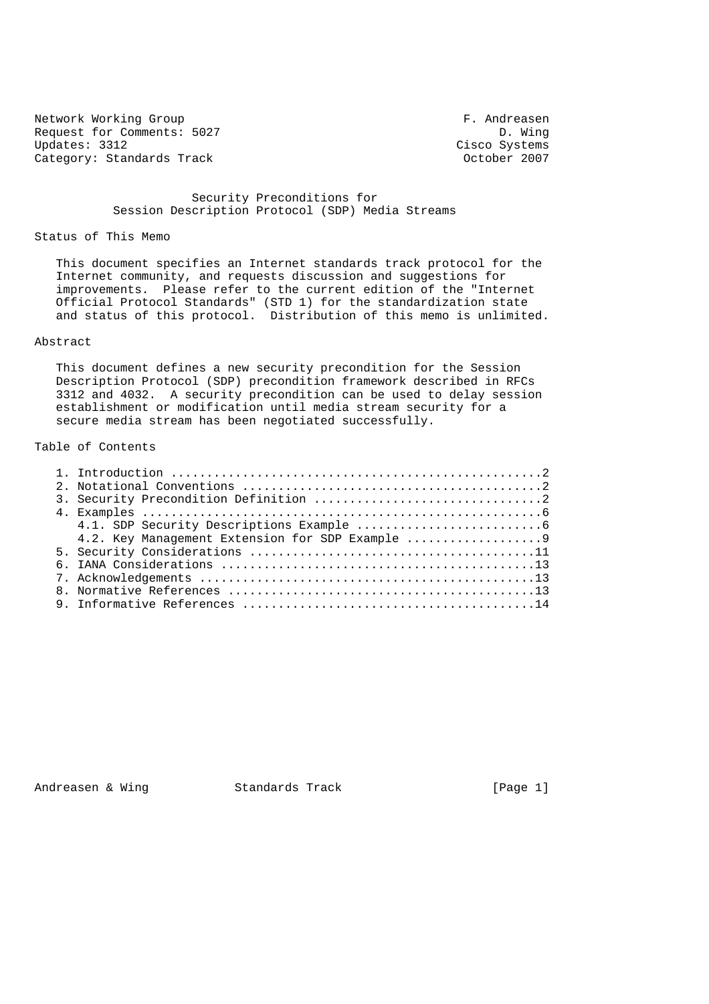Network Working Group F. Andreasen Request for Comments: 5027 D. Wing<br>Updates: 3312 D. Wing Updates: 3312<br>
Cisco Systems (Category: Standards Track extense of the Category: Category: Category: Category: Category: Category Category: Standards Track

 Security Preconditions for Session Description Protocol (SDP) Media Streams

Status of This Memo

 This document specifies an Internet standards track protocol for the Internet community, and requests discussion and suggestions for improvements. Please refer to the current edition of the "Internet Official Protocol Standards" (STD 1) for the standardization state and status of this protocol. Distribution of this memo is unlimited.

# Abstract

 This document defines a new security precondition for the Session Description Protocol (SDP) precondition framework described in RFCs 3312 and 4032. A security precondition can be used to delay session establishment or modification until media stream security for a secure media stream has been negotiated successfully.

# Table of Contents

| 4.2. Key Management Extension for SDP Example |
|-----------------------------------------------|
|                                               |
|                                               |
|                                               |
|                                               |
|                                               |

Andreasen & Wing Standards Track [Page 1]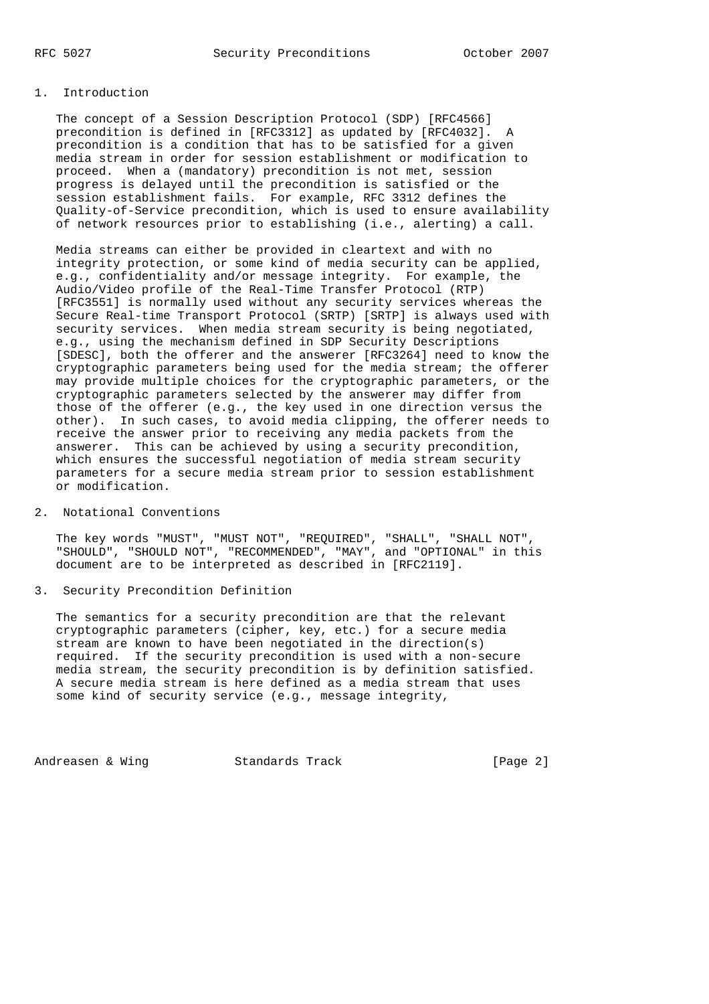# 1. Introduction

 The concept of a Session Description Protocol (SDP) [RFC4566] precondition is defined in [RFC3312] as updated by [RFC4032]. A precondition is a condition that has to be satisfied for a given media stream in order for session establishment or modification to proceed. When a (mandatory) precondition is not met, session progress is delayed until the precondition is satisfied or the session establishment fails. For example, RFC 3312 defines the Quality-of-Service precondition, which is used to ensure availability of network resources prior to establishing (i.e., alerting) a call.

 Media streams can either be provided in cleartext and with no integrity protection, or some kind of media security can be applied, e.g., confidentiality and/or message integrity. For example, the Audio/Video profile of the Real-Time Transfer Protocol (RTP) [RFC3551] is normally used without any security services whereas the Secure Real-time Transport Protocol (SRTP) [SRTP] is always used with security services. When media stream security is being negotiated, e.g., using the mechanism defined in SDP Security Descriptions [SDESC], both the offerer and the answerer [RFC3264] need to know the cryptographic parameters being used for the media stream; the offerer may provide multiple choices for the cryptographic parameters, or the cryptographic parameters selected by the answerer may differ from those of the offerer (e.g., the key used in one direction versus the other). In such cases, to avoid media clipping, the offerer needs to receive the answer prior to receiving any media packets from the answerer. This can be achieved by using a security precondition, which ensures the successful negotiation of media stream security parameters for a secure media stream prior to session establishment or modification.

### 2. Notational Conventions

 The key words "MUST", "MUST NOT", "REQUIRED", "SHALL", "SHALL NOT", "SHOULD", "SHOULD NOT", "RECOMMENDED", "MAY", and "OPTIONAL" in this document are to be interpreted as described in [RFC2119].

### 3. Security Precondition Definition

 The semantics for a security precondition are that the relevant cryptographic parameters (cipher, key, etc.) for a secure media stream are known to have been negotiated in the direction(s) required. If the security precondition is used with a non-secure media stream, the security precondition is by definition satisfied. A secure media stream is here defined as a media stream that uses some kind of security service (e.g., message integrity,

Andreasen & Wing Standards Track (Page 2)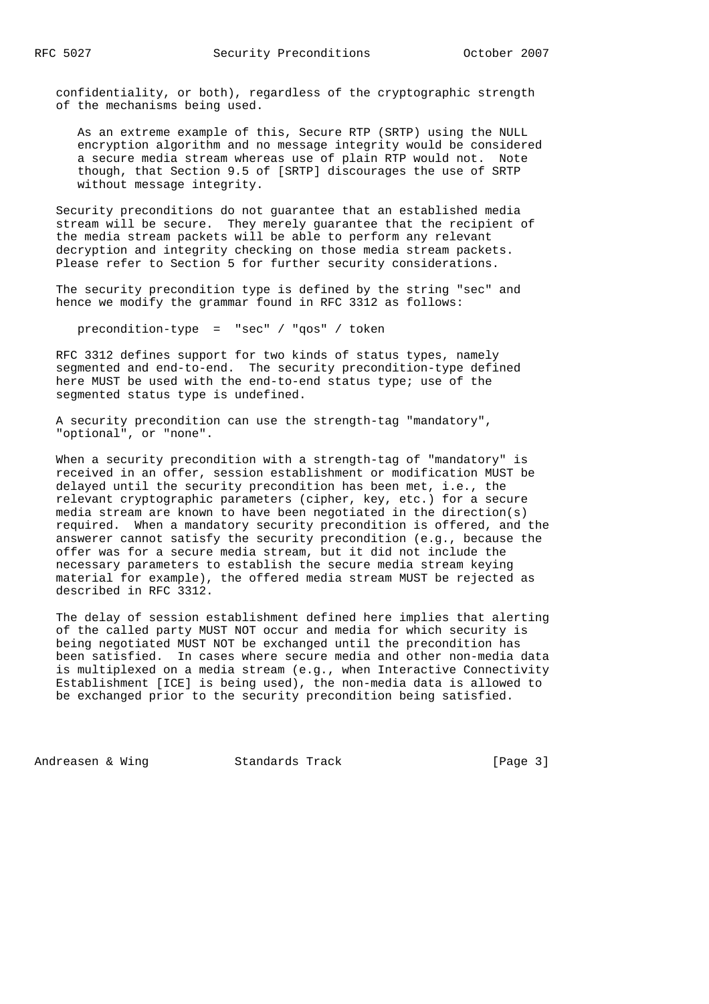confidentiality, or both), regardless of the cryptographic strength of the mechanisms being used.

 As an extreme example of this, Secure RTP (SRTP) using the NULL encryption algorithm and no message integrity would be considered a secure media stream whereas use of plain RTP would not. Note though, that Section 9.5 of [SRTP] discourages the use of SRTP without message integrity.

 Security preconditions do not guarantee that an established media stream will be secure. They merely guarantee that the recipient of the media stream packets will be able to perform any relevant decryption and integrity checking on those media stream packets. Please refer to Section 5 for further security considerations.

 The security precondition type is defined by the string "sec" and hence we modify the grammar found in RFC 3312 as follows:

precondition-type = "sec" / "qos" / token

 RFC 3312 defines support for two kinds of status types, namely segmented and end-to-end. The security precondition-type defined here MUST be used with the end-to-end status type; use of the segmented status type is undefined.

 A security precondition can use the strength-tag "mandatory", "optional", or "none".

 When a security precondition with a strength-tag of "mandatory" is received in an offer, session establishment or modification MUST be delayed until the security precondition has been met, i.e., the relevant cryptographic parameters (cipher, key, etc.) for a secure media stream are known to have been negotiated in the direction(s) required. When a mandatory security precondition is offered, and the answerer cannot satisfy the security precondition (e.g., because the offer was for a secure media stream, but it did not include the necessary parameters to establish the secure media stream keying material for example), the offered media stream MUST be rejected as described in RFC 3312.

 The delay of session establishment defined here implies that alerting of the called party MUST NOT occur and media for which security is being negotiated MUST NOT be exchanged until the precondition has been satisfied. In cases where secure media and other non-media data is multiplexed on a media stream (e.g., when Interactive Connectivity Establishment [ICE] is being used), the non-media data is allowed to be exchanged prior to the security precondition being satisfied.

Andreasen & Wing Standards Track [Page 3]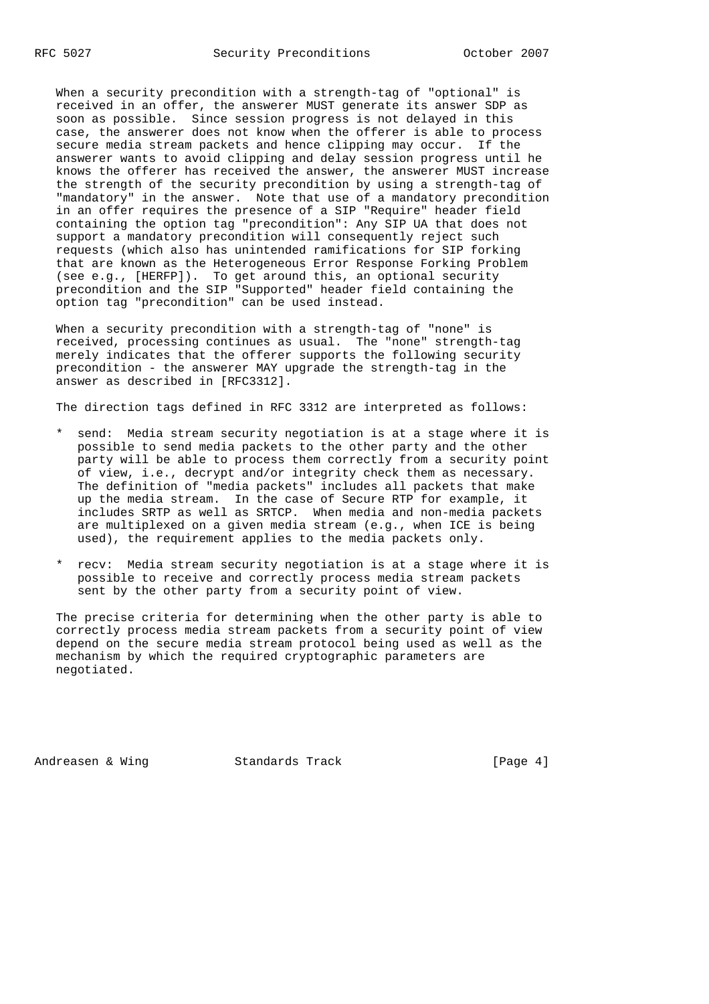When a security precondition with a strength-tag of "optional" is received in an offer, the answerer MUST generate its answer SDP as soon as possible. Since session progress is not delayed in this case, the answerer does not know when the offerer is able to process secure media stream packets and hence clipping may occur. If the answerer wants to avoid clipping and delay session progress until he knows the offerer has received the answer, the answerer MUST increase the strength of the security precondition by using a strength-tag of "mandatory" in the answer. Note that use of a mandatory precondition in an offer requires the presence of a SIP "Require" header field containing the option tag "precondition": Any SIP UA that does not support a mandatory precondition will consequently reject such requests (which also has unintended ramifications for SIP forking that are known as the Heterogeneous Error Response Forking Problem (see e.g., [HERFP]). To get around this, an optional security precondition and the SIP "Supported" header field containing the option tag "precondition" can be used instead.

 When a security precondition with a strength-tag of "none" is received, processing continues as usual. The "none" strength-tag merely indicates that the offerer supports the following security precondition - the answerer MAY upgrade the strength-tag in the answer as described in [RFC3312].

The direction tags defined in RFC 3312 are interpreted as follows:

- \* send: Media stream security negotiation is at a stage where it is possible to send media packets to the other party and the other party will be able to process them correctly from a security point of view, i.e., decrypt and/or integrity check them as necessary. The definition of "media packets" includes all packets that make up the media stream. In the case of Secure RTP for example, it includes SRTP as well as SRTCP. When media and non-media packets are multiplexed on a given media stream (e.g., when ICE is being used), the requirement applies to the media packets only.
- \* recv: Media stream security negotiation is at a stage where it is possible to receive and correctly process media stream packets sent by the other party from a security point of view.

 The precise criteria for determining when the other party is able to correctly process media stream packets from a security point of view depend on the secure media stream protocol being used as well as the mechanism by which the required cryptographic parameters are negotiated.

Andreasen & Wing Standards Track [Page 4]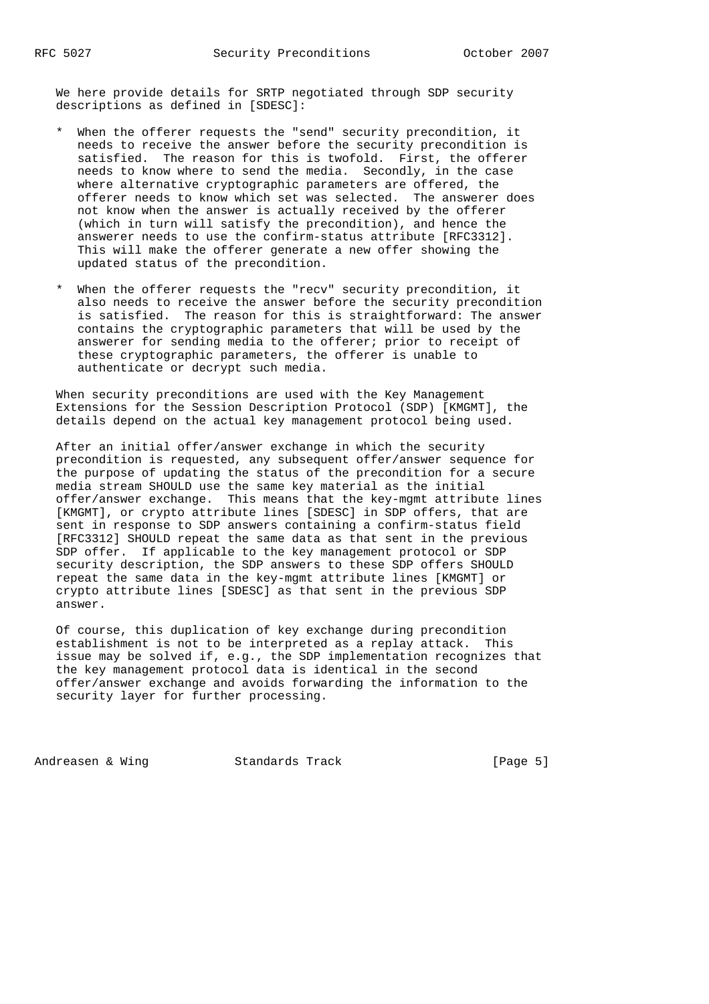We here provide details for SRTP negotiated through SDP security descriptions as defined in [SDESC]:

- \* When the offerer requests the "send" security precondition, it needs to receive the answer before the security precondition is satisfied. The reason for this is twofold. First, the offerer needs to know where to send the media. Secondly, in the case where alternative cryptographic parameters are offered, the offerer needs to know which set was selected. The answerer does not know when the answer is actually received by the offerer (which in turn will satisfy the precondition), and hence the answerer needs to use the confirm-status attribute [RFC3312]. This will make the offerer generate a new offer showing the updated status of the precondition.
- \* When the offerer requests the "recv" security precondition, it also needs to receive the answer before the security precondition is satisfied. The reason for this is straightforward: The answer contains the cryptographic parameters that will be used by the answerer for sending media to the offerer; prior to receipt of these cryptographic parameters, the offerer is unable to authenticate or decrypt such media.

 When security preconditions are used with the Key Management Extensions for the Session Description Protocol (SDP) [KMGMT], the details depend on the actual key management protocol being used.

 After an initial offer/answer exchange in which the security precondition is requested, any subsequent offer/answer sequence for the purpose of updating the status of the precondition for a secure media stream SHOULD use the same key material as the initial offer/answer exchange. This means that the key-mgmt attribute lines [KMGMT], or crypto attribute lines [SDESC] in SDP offers, that are sent in response to SDP answers containing a confirm-status field [RFC3312] SHOULD repeat the same data as that sent in the previous SDP offer. If applicable to the key management protocol or SDP security description, the SDP answers to these SDP offers SHOULD repeat the same data in the key-mgmt attribute lines [KMGMT] or crypto attribute lines [SDESC] as that sent in the previous SDP answer.

 Of course, this duplication of key exchange during precondition establishment is not to be interpreted as a replay attack. This issue may be solved if, e.g., the SDP implementation recognizes that the key management protocol data is identical in the second offer/answer exchange and avoids forwarding the information to the security layer for further processing.

Andreasen & Wing Standards Track [Page 5]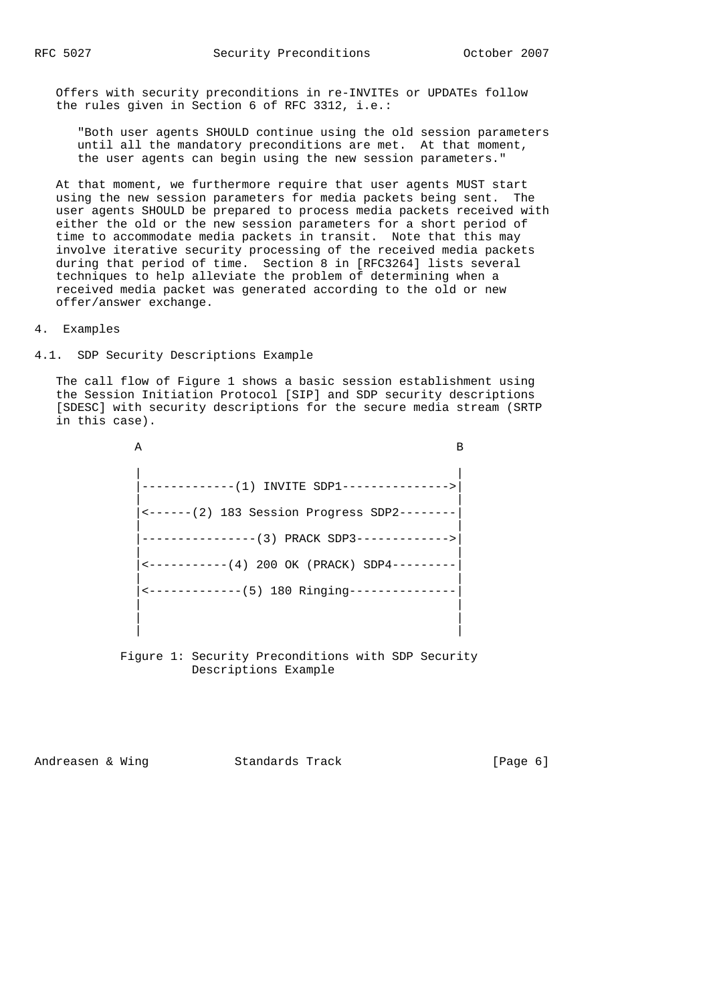Offers with security preconditions in re-INVITEs or UPDATEs follow the rules given in Section 6 of RFC 3312, i.e.:

 "Both user agents SHOULD continue using the old session parameters until all the mandatory preconditions are met. At that moment, the user agents can begin using the new session parameters."

 At that moment, we furthermore require that user agents MUST start using the new session parameters for media packets being sent. The user agents SHOULD be prepared to process media packets received with either the old or the new session parameters for a short period of time to accommodate media packets in transit. Note that this may involve iterative security processing of the received media packets during that period of time. Section 8 in [RFC3264] lists several techniques to help alleviate the problem of determining when a received media packet was generated according to the old or new offer/answer exchange.

4. Examples

#### 4.1. SDP Security Descriptions Example

 The call flow of Figure 1 shows a basic session establishment using the Session Initiation Protocol [SIP] and SDP security descriptions [SDESC] with security descriptions for the secure media stream (SRTP in this case).

 A B | | |-------------(1) INVITE SDP1--------------->| | | |<------(2) 183 Session Progress SDP2--------| | | |----------------(3) PRACK SDP3------------->| | | |<-----------(4) 200 OK (PRACK) SDP4---------| | | |<-------------(5) 180 Ringing---------------| | | | | | |

> Figure 1: Security Preconditions with SDP Security Descriptions Example

Andreasen & Wing Standards Track [Page 6]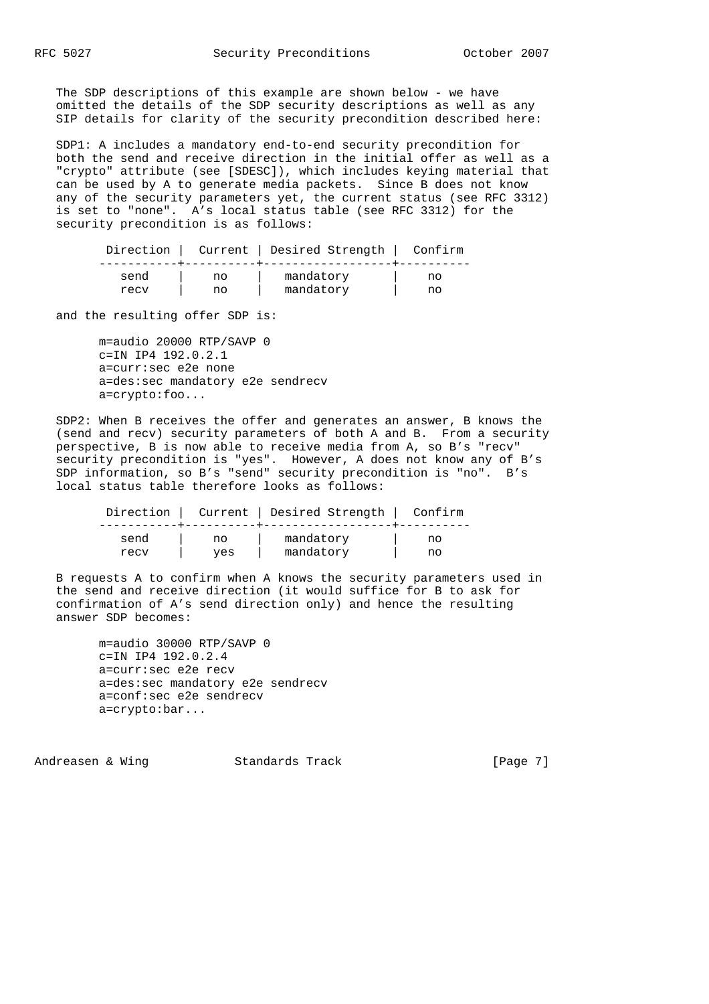The SDP descriptions of this example are shown below - we have omitted the details of the SDP security descriptions as well as any SIP details for clarity of the security precondition described here:

 SDP1: A includes a mandatory end-to-end security precondition for both the send and receive direction in the initial offer as well as a "crypto" attribute (see [SDESC]), which includes keying material that can be used by A to generate media packets. Since B does not know any of the security parameters yet, the current status (see RFC 3312) is set to "none". A's local status table (see RFC 3312) for the security precondition is as follows:

|      |    | Direction   Current   Desired Strength   Confirm |    |
|------|----|--------------------------------------------------|----|
| send | no | mandatory                                        | no |
| recy | no | mandatory                                        | no |

and the resulting offer SDP is:

 m=audio 20000 RTP/SAVP 0 c=IN IP4 192.0.2.1 a=curr:sec e2e none a=des:sec mandatory e2e sendrecv a=crypto:foo...

 SDP2: When B receives the offer and generates an answer, B knows the (send and recv) security parameters of both A and B. From a security perspective, B is now able to receive media from A, so B's "recv" security precondition is "yes". However, A does not know any of B's SDP information, so B's "send" security precondition is "no". B's local status table therefore looks as follows:

|      |     | Direction   Current   Desired Strength   Confirm |    |
|------|-----|--------------------------------------------------|----|
| send | no  | mandatory                                        | no |
| recv | ves | mandatory                                        | no |

 B requests A to confirm when A knows the security parameters used in the send and receive direction (it would suffice for B to ask for confirmation of A's send direction only) and hence the resulting answer SDP becomes:

 m=audio 30000 RTP/SAVP 0 c=IN IP4 192.0.2.4 a=curr:sec e2e recv a=des:sec mandatory e2e sendrecv a=conf:sec e2e sendrecv a=crypto:bar...

Andreasen & Wing Standards Track [Page 7]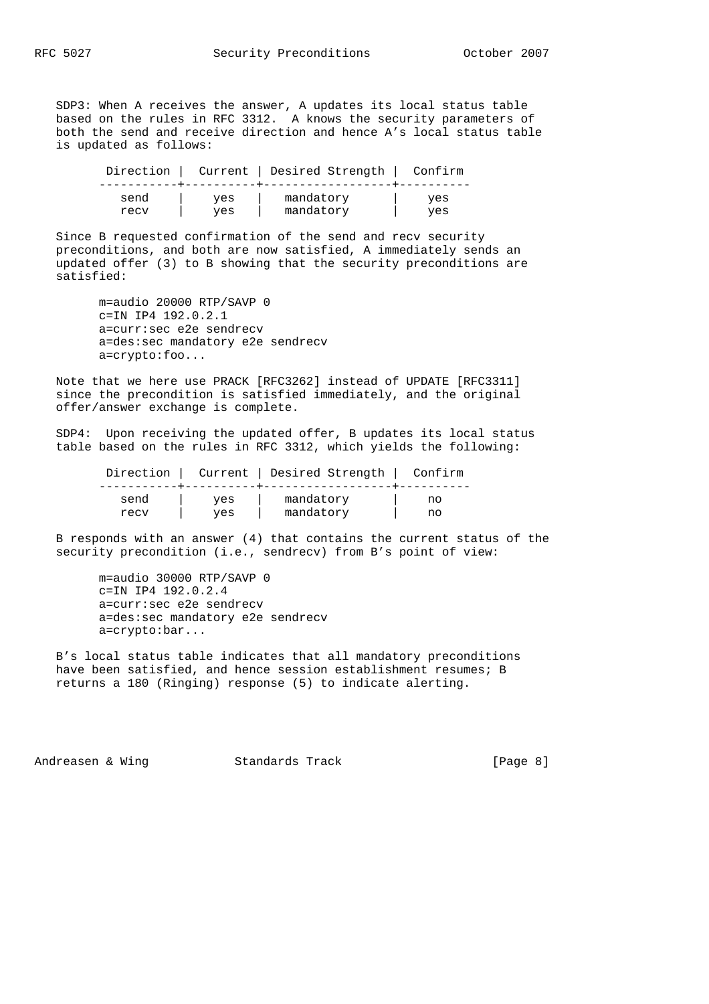SDP3: When A receives the answer, A updates its local status table based on the rules in RFC 3312. A knows the security parameters of both the send and receive direction and hence A's local status table is updated as follows:

|      |     | Direction   Current   Desired Strength   Confirm |     |
|------|-----|--------------------------------------------------|-----|
| send | ves | mandatory                                        | ves |
| recy | ves | mandatory                                        | ves |

 Since B requested confirmation of the send and recv security preconditions, and both are now satisfied, A immediately sends an updated offer (3) to B showing that the security preconditions are satisfied:

 m=audio 20000 RTP/SAVP 0 c=IN IP4 192.0.2.1 a=curr:sec e2e sendrecv a=des:sec mandatory e2e sendrecv a=crypto:foo...

 Note that we here use PRACK [RFC3262] instead of UPDATE [RFC3311] since the precondition is satisfied immediately, and the original offer/answer exchange is complete.

 SDP4: Upon receiving the updated offer, B updates its local status table based on the rules in RFC 3312, which yields the following:

| Direction |     | Current   Desired Strength   Confirm |    |
|-----------|-----|--------------------------------------|----|
| send      | ves | mandatory                            | no |
| recy      | ves | mandatory                            | no |

 B responds with an answer (4) that contains the current status of the security precondition (i.e., sendrecv) from B's point of view:

 m=audio 30000 RTP/SAVP 0 c=IN IP4 192.0.2.4 a=curr:sec e2e sendrecv a=des:sec mandatory e2e sendrecv a=crypto:bar...

 B's local status table indicates that all mandatory preconditions have been satisfied, and hence session establishment resumes; B returns a 180 (Ringing) response (5) to indicate alerting.

Andreasen & Wing Standards Track [Page 8]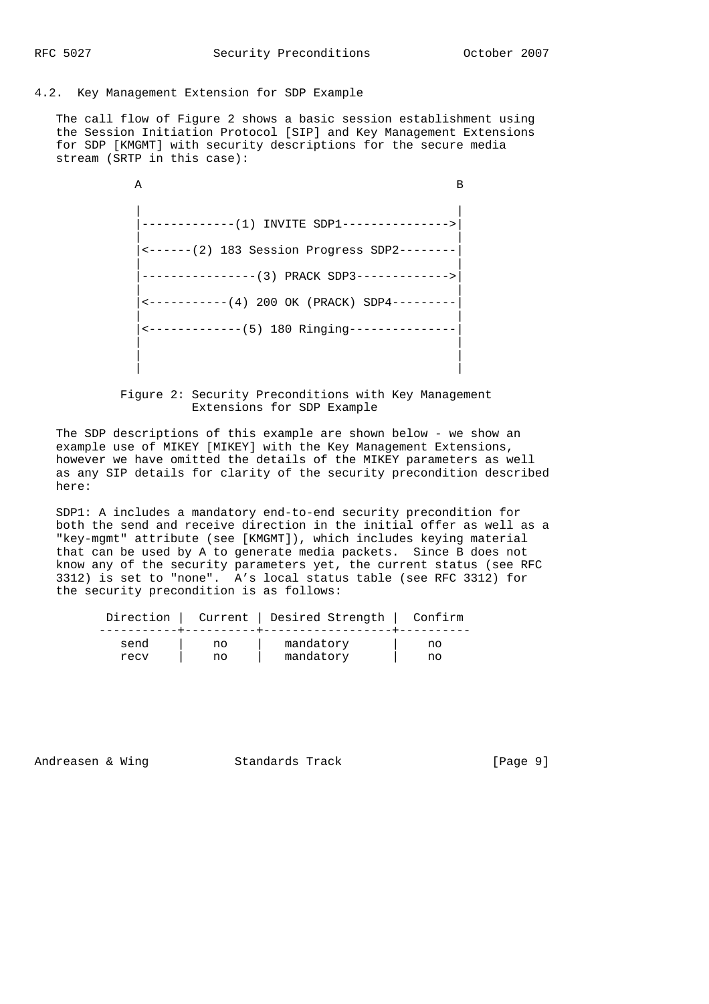4.2. Key Management Extension for SDP Example

 The call flow of Figure 2 shows a basic session establishment using the Session Initiation Protocol [SIP] and Key Management Extensions for SDP [KMGMT] with security descriptions for the secure media stream (SRTP in this case):

```
 A B
 | |
      |-------------(1) INVITE SDP1--------------->|
 | |
      |<------(2) 183 Session Progress SDP2--------|
 | |
      |----------------(3) PRACK SDP3------------->|
 | |
      |<-----------(4) 200 OK (PRACK) SDP4---------|
 | |
      |<-------------(5) 180 Ringing---------------|
 | |
 | |
 | |
```
 Figure 2: Security Preconditions with Key Management Extensions for SDP Example

 The SDP descriptions of this example are shown below - we show an example use of MIKEY [MIKEY] with the Key Management Extensions, however we have omitted the details of the MIKEY parameters as well as any SIP details for clarity of the security precondition described here:

 SDP1: A includes a mandatory end-to-end security precondition for both the send and receive direction in the initial offer as well as a "key-mgmt" attribute (see [KMGMT]), which includes keying material that can be used by A to generate media packets. Since B does not know any of the security parameters yet, the current status (see RFC 3312) is set to "none". A's local status table (see RFC 3312) for the security precondition is as follows:

|      |    | Direction   Current   Desired Strength   Confirm |    |
|------|----|--------------------------------------------------|----|
| send | no | mandatory                                        | no |
| recy | no | mandatory                                        | no |

Andreasen & Wing Standards Track [Page 9]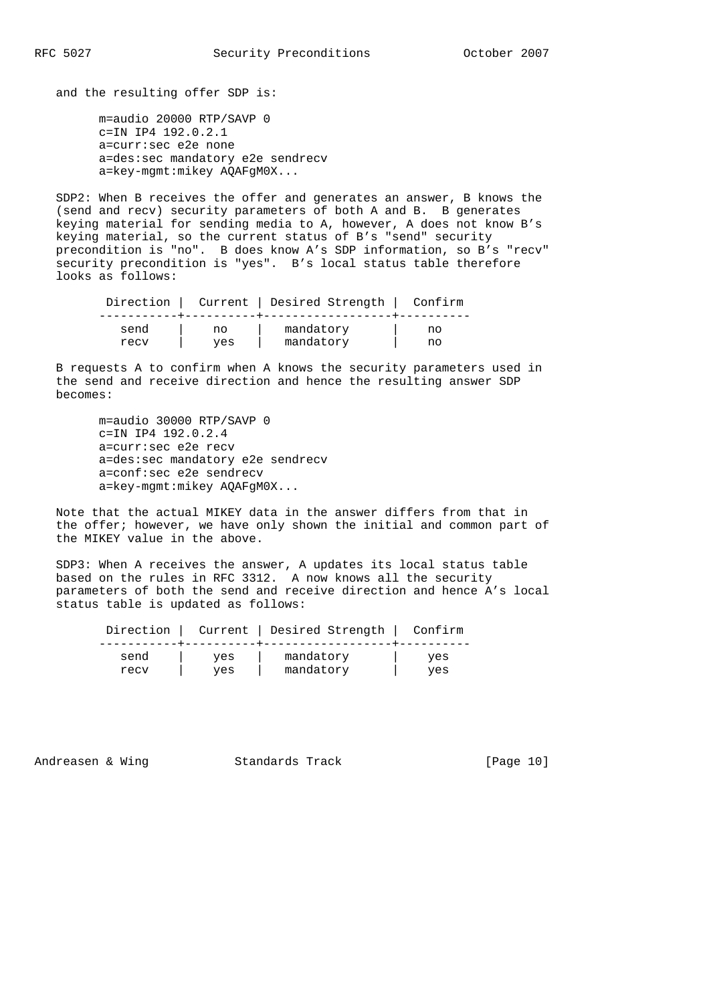and the resulting offer SDP is:

 m=audio 20000 RTP/SAVP 0 c=IN IP4 192.0.2.1 a=curr:sec e2e none a=des:sec mandatory e2e sendrecv a=key-mgmt:mikey AQAFgM0X...

 SDP2: When B receives the offer and generates an answer, B knows the (send and recv) security parameters of both A and B. B generates keying material for sending media to A, however, A does not know B's keying material, so the current status of B's "send" security precondition is "no". B does know A's SDP information, so B's "recv" security precondition is "yes". B's local status table therefore looks as follows:

|      |     | Direction   Current   Desired Strength   Confirm |    |
|------|-----|--------------------------------------------------|----|
| send | no  | mandatory                                        | no |
| recy | ves | mandatory                                        | no |

 B requests A to confirm when A knows the security parameters used in the send and receive direction and hence the resulting answer SDP becomes:

 m=audio 30000 RTP/SAVP 0 c=IN IP4 192.0.2.4 a=curr:sec e2e recv a=des:sec mandatory e2e sendrecv a=conf:sec e2e sendrecv a=key-mgmt:mikey AQAFgM0X...

 Note that the actual MIKEY data in the answer differs from that in the offer; however, we have only shown the initial and common part of the MIKEY value in the above.

 SDP3: When A receives the answer, A updates its local status table based on the rules in RFC 3312. A now knows all the security parameters of both the send and receive direction and hence A's local status table is updated as follows:

| Direction |     | Current   Desired Strength   Confirm |     |
|-----------|-----|--------------------------------------|-----|
| send      | ves | mandatory                            | ves |
| recy      | ves | mandatory                            | ves |

Andreasen & Wing Standards Track [Page 10]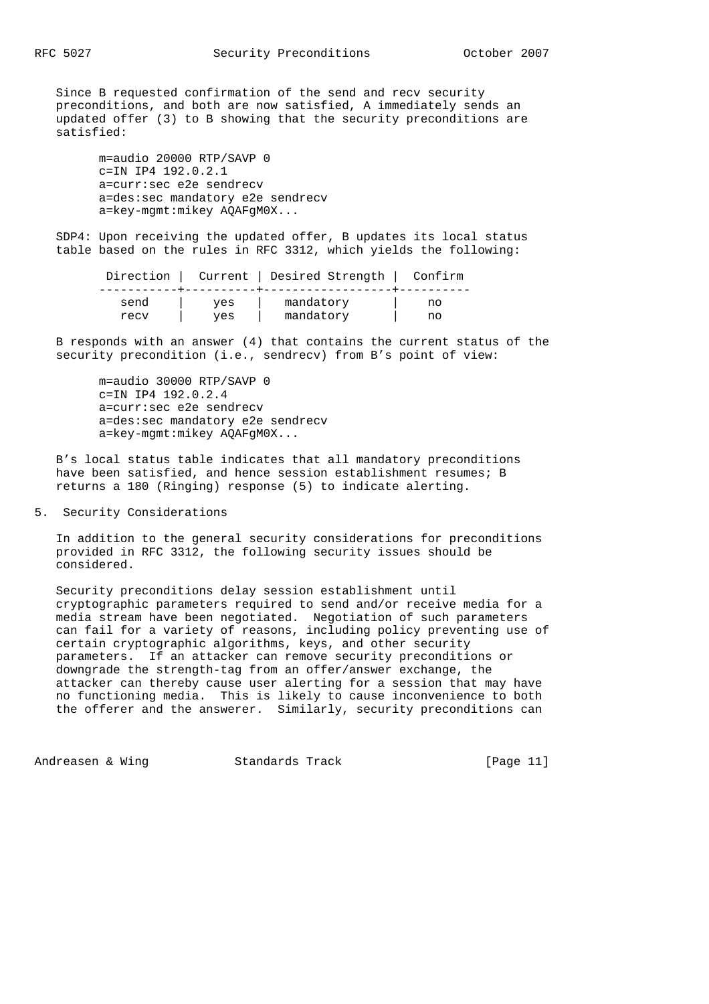Since B requested confirmation of the send and recv security preconditions, and both are now satisfied, A immediately sends an updated offer (3) to B showing that the security preconditions are satisfied:

 m=audio 20000 RTP/SAVP 0 c=IN IP4 192.0.2.1 a=curr:sec e2e sendrecv a=des:sec mandatory e2e sendrecv a=key-mgmt:mikey AQAFgM0X...

 SDP4: Upon receiving the updated offer, B updates its local status table based on the rules in RFC 3312, which yields the following:

|      |     | Direction   Current   Desired Strength   Confirm |    |
|------|-----|--------------------------------------------------|----|
| send | ves | mandatory                                        | no |
| recy | ves | mandatory                                        | no |

 B responds with an answer (4) that contains the current status of the security precondition (i.e., sendrecv) from B's point of view:

 m=audio 30000 RTP/SAVP 0 c=IN IP4 192.0.2.4 a=curr:sec e2e sendrecv a=des:sec mandatory e2e sendrecv a=key-mgmt:mikey AQAFgM0X...

 B's local status table indicates that all mandatory preconditions have been satisfied, and hence session establishment resumes; B returns a 180 (Ringing) response (5) to indicate alerting.

#### 5. Security Considerations

 In addition to the general security considerations for preconditions provided in RFC 3312, the following security issues should be considered.

 Security preconditions delay session establishment until cryptographic parameters required to send and/or receive media for a media stream have been negotiated. Negotiation of such parameters can fail for a variety of reasons, including policy preventing use of certain cryptographic algorithms, keys, and other security parameters. If an attacker can remove security preconditions or downgrade the strength-tag from an offer/answer exchange, the attacker can thereby cause user alerting for a session that may have no functioning media. This is likely to cause inconvenience to both the offerer and the answerer. Similarly, security preconditions can

Andreasen & Wing Standards Track [Page 11]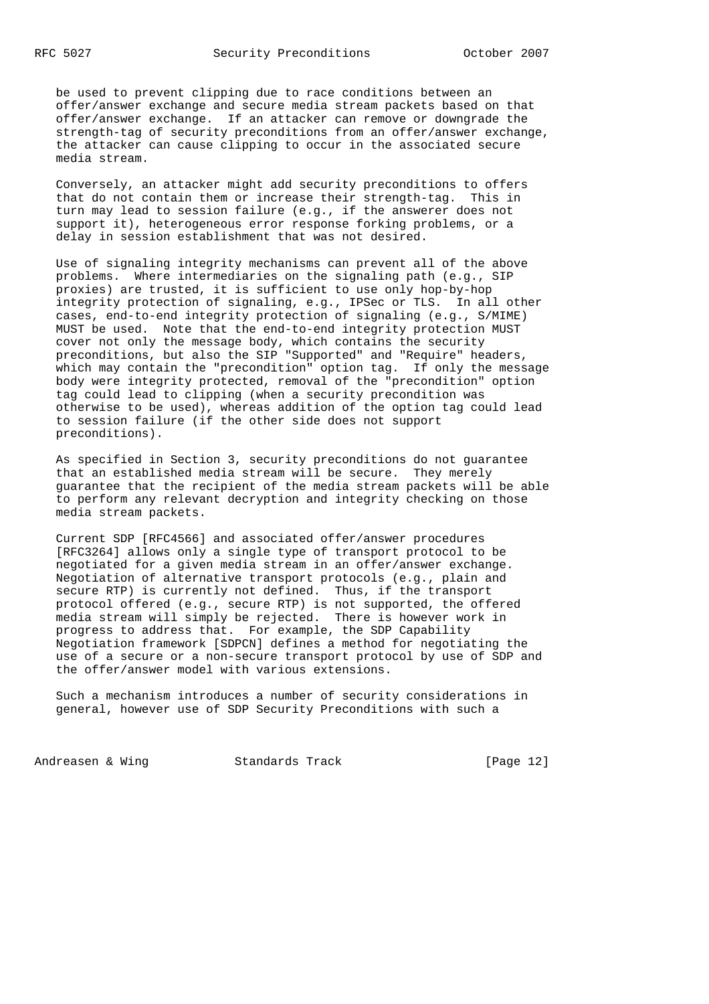be used to prevent clipping due to race conditions between an offer/answer exchange and secure media stream packets based on that offer/answer exchange. If an attacker can remove or downgrade the strength-tag of security preconditions from an offer/answer exchange, the attacker can cause clipping to occur in the associated secure media stream.

 Conversely, an attacker might add security preconditions to offers that do not contain them or increase their strength-tag. This in turn may lead to session failure (e.g., if the answerer does not support it), heterogeneous error response forking problems, or a delay in session establishment that was not desired.

 Use of signaling integrity mechanisms can prevent all of the above problems. Where intermediaries on the signaling path (e.g., SIP proxies) are trusted, it is sufficient to use only hop-by-hop integrity protection of signaling, e.g., IPSec or TLS. In all other cases, end-to-end integrity protection of signaling (e.g., S/MIME) MUST be used. Note that the end-to-end integrity protection MUST cover not only the message body, which contains the security preconditions, but also the SIP "Supported" and "Require" headers, which may contain the "precondition" option tag. If only the message body were integrity protected, removal of the "precondition" option tag could lead to clipping (when a security precondition was otherwise to be used), whereas addition of the option tag could lead to session failure (if the other side does not support preconditions).

 As specified in Section 3, security preconditions do not guarantee that an established media stream will be secure. They merely guarantee that the recipient of the media stream packets will be able to perform any relevant decryption and integrity checking on those media stream packets.

 Current SDP [RFC4566] and associated offer/answer procedures [RFC3264] allows only a single type of transport protocol to be negotiated for a given media stream in an offer/answer exchange. Negotiation of alternative transport protocols (e.g., plain and secure RTP) is currently not defined. Thus, if the transport protocol offered (e.g., secure RTP) is not supported, the offered media stream will simply be rejected. There is however work in progress to address that. For example, the SDP Capability Negotiation framework [SDPCN] defines a method for negotiating the use of a secure or a non-secure transport protocol by use of SDP and the offer/answer model with various extensions.

 Such a mechanism introduces a number of security considerations in general, however use of SDP Security Preconditions with such a

Andreasen & Wing Standards Track [Page 12]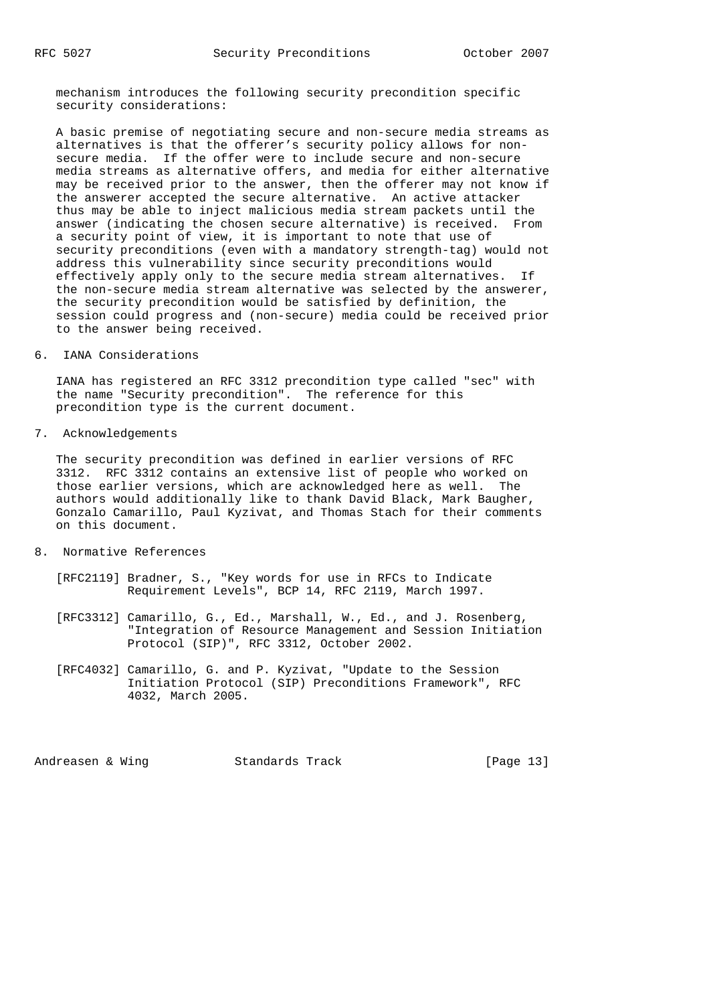mechanism introduces the following security precondition specific security considerations:

 A basic premise of negotiating secure and non-secure media streams as alternatives is that the offerer's security policy allows for non secure media. If the offer were to include secure and non-secure media streams as alternative offers, and media for either alternative may be received prior to the answer, then the offerer may not know if the answerer accepted the secure alternative. An active attacker thus may be able to inject malicious media stream packets until the answer (indicating the chosen secure alternative) is received. From a security point of view, it is important to note that use of security preconditions (even with a mandatory strength-tag) would not address this vulnerability since security preconditions would effectively apply only to the secure media stream alternatives. If the non-secure media stream alternative was selected by the answerer, the security precondition would be satisfied by definition, the session could progress and (non-secure) media could be received prior to the answer being received.

#### 6. IANA Considerations

 IANA has registered an RFC 3312 precondition type called "sec" with the name "Security precondition". The reference for this precondition type is the current document.

### 7. Acknowledgements

 The security precondition was defined in earlier versions of RFC 3312. RFC 3312 contains an extensive list of people who worked on those earlier versions, which are acknowledged here as well. The authors would additionally like to thank David Black, Mark Baugher, Gonzalo Camarillo, Paul Kyzivat, and Thomas Stach for their comments on this document.

# 8. Normative References

- [RFC2119] Bradner, S., "Key words for use in RFCs to Indicate Requirement Levels", BCP 14, RFC 2119, March 1997.
- [RFC3312] Camarillo, G., Ed., Marshall, W., Ed., and J. Rosenberg, "Integration of Resource Management and Session Initiation Protocol (SIP)", RFC 3312, October 2002.
- [RFC4032] Camarillo, G. and P. Kyzivat, "Update to the Session Initiation Protocol (SIP) Preconditions Framework", RFC 4032, March 2005.

Andreasen & Wing Standards Track [Page 13]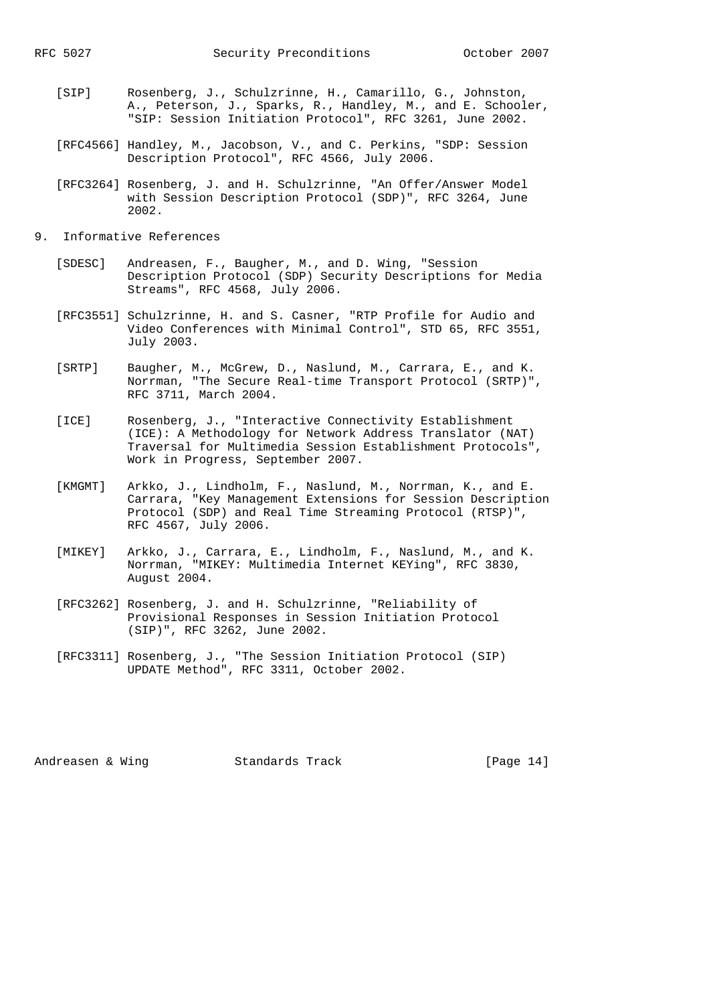- [SIP] Rosenberg, J., Schulzrinne, H., Camarillo, G., Johnston, A., Peterson, J., Sparks, R., Handley, M., and E. Schooler, "SIP: Session Initiation Protocol", RFC 3261, June 2002.
- [RFC4566] Handley, M., Jacobson, V., and C. Perkins, "SDP: Session Description Protocol", RFC 4566, July 2006.
- [RFC3264] Rosenberg, J. and H. Schulzrinne, "An Offer/Answer Model with Session Description Protocol (SDP)", RFC 3264, June 2002.
- 9. Informative References
	- [SDESC] Andreasen, F., Baugher, M., and D. Wing, "Session Description Protocol (SDP) Security Descriptions for Media Streams", RFC 4568, July 2006.
	- [RFC3551] Schulzrinne, H. and S. Casner, "RTP Profile for Audio and Video Conferences with Minimal Control", STD 65, RFC 3551, July 2003.
	- [SRTP] Baugher, M., McGrew, D., Naslund, M., Carrara, E., and K. Norrman, "The Secure Real-time Transport Protocol (SRTP)", RFC 3711, March 2004.
	- [ICE] Rosenberg, J., "Interactive Connectivity Establishment (ICE): A Methodology for Network Address Translator (NAT) Traversal for Multimedia Session Establishment Protocols", Work in Progress, September 2007.
	- [KMGMT] Arkko, J., Lindholm, F., Naslund, M., Norrman, K., and E. Carrara, "Key Management Extensions for Session Description Protocol (SDP) and Real Time Streaming Protocol (RTSP)", RFC 4567, July 2006.
	- [MIKEY] Arkko, J., Carrara, E., Lindholm, F., Naslund, M., and K. Norrman, "MIKEY: Multimedia Internet KEYing", RFC 3830, August 2004.
	- [RFC3262] Rosenberg, J. and H. Schulzrinne, "Reliability of Provisional Responses in Session Initiation Protocol (SIP)", RFC 3262, June 2002.
	- [RFC3311] Rosenberg, J., "The Session Initiation Protocol (SIP) UPDATE Method", RFC 3311, October 2002.

Andreasen & Wing Standards Track [Page 14]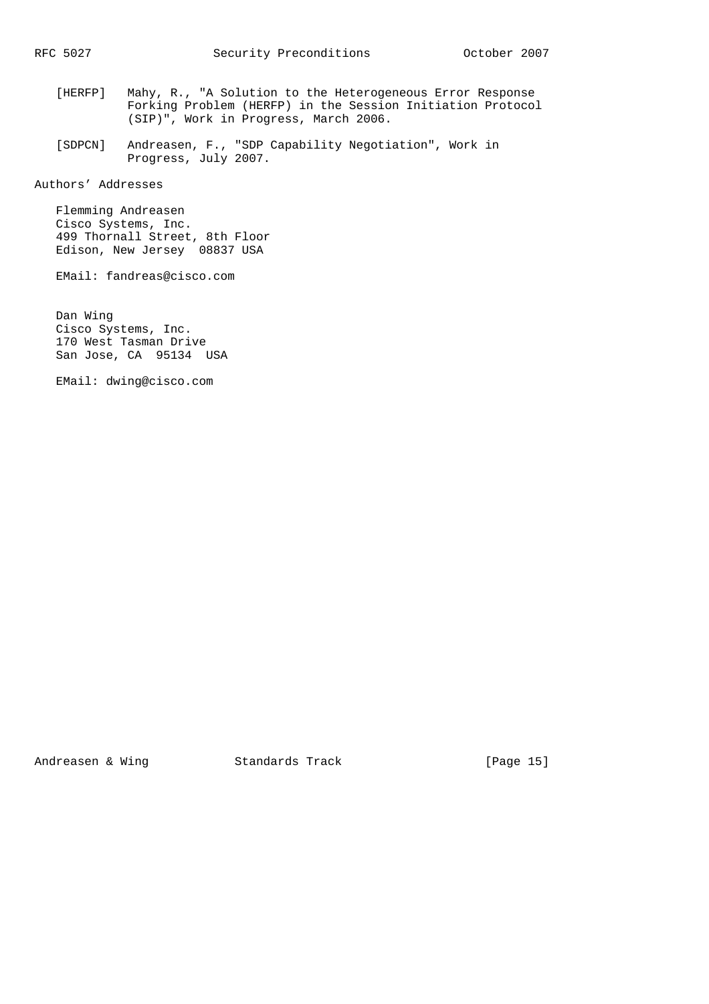- [HERFP] Mahy, R., "A Solution to the Heterogeneous Error Response Forking Problem (HERFP) in the Session Initiation Protocol (SIP)", Work in Progress, March 2006.
- [SDPCN] Andreasen, F., "SDP Capability Negotiation", Work in Progress, July 2007.

Authors' Addresses

 Flemming Andreasen Cisco Systems, Inc. 499 Thornall Street, 8th Floor Edison, New Jersey 08837 USA

EMail: fandreas@cisco.com

 Dan Wing Cisco Systems, Inc. 170 West Tasman Drive San Jose, CA 95134 USA

EMail: dwing@cisco.com

Andreasen & Wing Standards Track [Page 15]